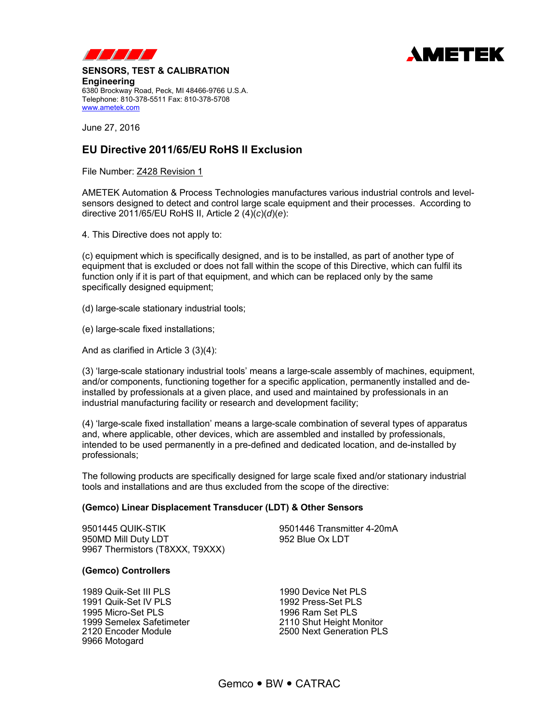



**SENSORS, TEST & CALIBRATION Engineering** 6380 Brockway Road, Peck, MI 48466-9766 U.S.A. Telephone: 810-378-5511 Fax: 810-378-5708

June 27, 2016

www.ametek.com

# **EU Directive 2011/65/EU RoHS II Exclusion**

File Number: Z428 Revision 1

AMETEK Automation & Process Technologies manufactures various industrial controls and levelsensors designed to detect and control large scale equipment and their processes. According to directive 2011/65/EU RoHS II, Article 2 (4)(*c*)(*d*)(*e*):

4. This Directive does not apply to:

(c) equipment which is specifically designed, and is to be installed, as part of another type of equipment that is excluded or does not fall within the scope of this Directive, which can fulfil its function only if it is part of that equipment, and which can be replaced only by the same specifically designed equipment;

(d) large-scale stationary industrial tools;

(e) large-scale fixed installations;

And as clarified in Article 3 (3)(4):

(3) 'large-scale stationary industrial tools' means a large-scale assembly of machines, equipment, and/or components, functioning together for a specific application, permanently installed and deinstalled by professionals at a given place, and used and maintained by professionals in an industrial manufacturing facility or research and development facility;

(4) 'large-scale fixed installation' means a large-scale combination of several types of apparatus and, where applicable, other devices, which are assembled and installed by professionals, intended to be used permanently in a pre-defined and dedicated location, and de-installed by professionals;

The following products are specifically designed for large scale fixed and/or stationary industrial tools and installations and are thus excluded from the scope of the directive:

## **(Gemco) Linear Displacement Transducer (LDT) & Other Sensors**

9501445 QUIK-STIK 9501446 Transmitter 4-20mA 950MD Mill Duty LDT 952 Blue Ox LDT 9967 Thermistors (T8XXX, T9XXX)

#### **(Gemco) Controllers**

1989 Quik-Set III PLS<br>
1990 Device Net PLS 1991 Quik-Set IV PLS 1992 Press-Set PLS 1995 Micro-Set PLS<br>1999 Semelex Safetimeter 1999 Semelex Safetimeter 1999 Semelex Safetimeter 1999 2110 Shut Height Monitor<br>2120 Encoder Module 1999 2500 Next Generation PLS 9966 Motogard

2500 Next Generation PLS